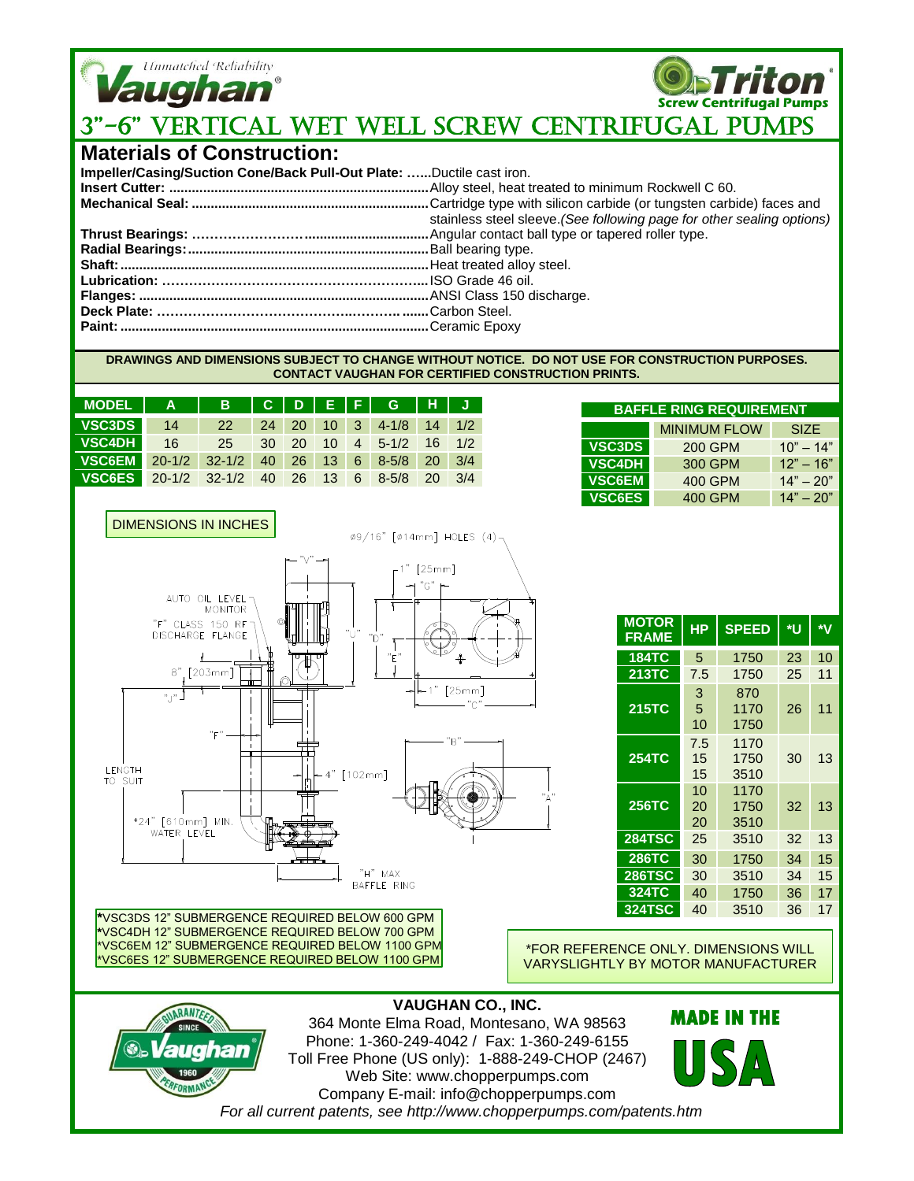

**Screw Centrifugal Pumps**

# 3"-6" VERTICAL WET WELL SCREW CEnTRIfugAL Pumps

### **Materials of Construction:**

| Impeller/Casing/Suction Cone/Back Pull-Out Plate: Ductile cast iron. |                                                                        |
|----------------------------------------------------------------------|------------------------------------------------------------------------|
|                                                                      |                                                                        |
|                                                                      | stainless steel sleeve. (See following page for other sealing options) |
|                                                                      |                                                                        |
|                                                                      |                                                                        |
|                                                                      |                                                                        |
|                                                                      |                                                                        |
|                                                                      |                                                                        |
|                                                                      |                                                                        |
|                                                                      |                                                                        |

#### **DRAWINGS AND DIMENSIONS SUBJECT TO CHANGE WITHOUT NOTICE. DO NOT USE FOR CONSTRUCTION PURPOSES. CONTACT VAUGHAN FOR CERTIFIED CONSTRUCTION PRINTS.**

| MODEL   A   B   C   D   E   F   G   H   J    |  |  |  |  |  |
|----------------------------------------------|--|--|--|--|--|
| VSC3DS 14 22 24 20 10 3 4-1/8 14 1/2         |  |  |  |  |  |
| VSC4DH 16 25 30 20 10 4 5-1/2 16 1/2         |  |  |  |  |  |
| VSC6EM 20-1/2 32-1/2 40 26 13 6 8-5/8 20 3/4 |  |  |  |  |  |
| VSC6ES 20-1/2 32-1/2 40 26 13 6 8-5/8 20 3/4 |  |  |  |  |  |

| <b>BAFFLE RING REQUIREMENT</b> |                     |             |  |  |
|--------------------------------|---------------------|-------------|--|--|
|                                | <b>MINIMUM FLOW</b> | <b>SIZE</b> |  |  |
| <b>VSC3DS</b>                  | <b>200 GPM</b>      | $10" - 14"$ |  |  |
| <b>VSC4DH</b>                  | 300 GPM             | $12" - 16"$ |  |  |
| <b>VSC6EM</b>                  | 400 GPM             | $14" - 20"$ |  |  |
| <b>VSC6ES</b>                  | 400 GPM             | $14" - 20"$ |  |  |



| <b>MOTOR</b><br><b>FRAME</b> | <b>HP</b>       | <b>SPEED</b>         | *U | ∗۷ |
|------------------------------|-----------------|----------------------|----|----|
| <b>184TC</b>                 | 5               | 1750                 | 23 | 10 |
| <b>213TC</b>                 | 7.5             | 1750                 | 25 | 11 |
| <b>215TC</b>                 | 3<br>5<br>10    | 870<br>1170<br>1750  | 26 | 11 |
| <b>254TC</b>                 | 7.5<br>15<br>15 | 1170<br>1750<br>3510 | 30 | 13 |
| <b>256TC</b>                 | 10<br>20<br>20  | 1170<br>1750<br>3510 | 32 | 13 |
| <b>284TSC</b>                | 25              | 3510                 | 32 | 13 |
| <b>286TC</b>                 | 30              | 1750                 | 34 | 15 |
| <b>286TSC</b>                | 30              | 3510                 | 34 | 15 |
| 324TC                        | 40              | 1750                 | 36 | 17 |
| <b>324TSC</b>                | 40              | 3510                 | 36 | 17 |

**\***VSC3DS 12" SUBMERGENCE REQUIRED BELOW 600 GPM **\***VSC4DH 12" SUBMERGENCE REQUIRED BELOW 700 GPM \*VSC6EM 12" SUBMERGENCE REQUIRED BELOW 1100 GPM \*VSC6ES 12" SUBMERGENCE REQUIRED BELOW 1100 GPM

**ARANT** 

\*FOR REFERENCE ONLY. DIMENSIONS WILL VARYSLIGHTLY BY MOTOR MANUFACTURER